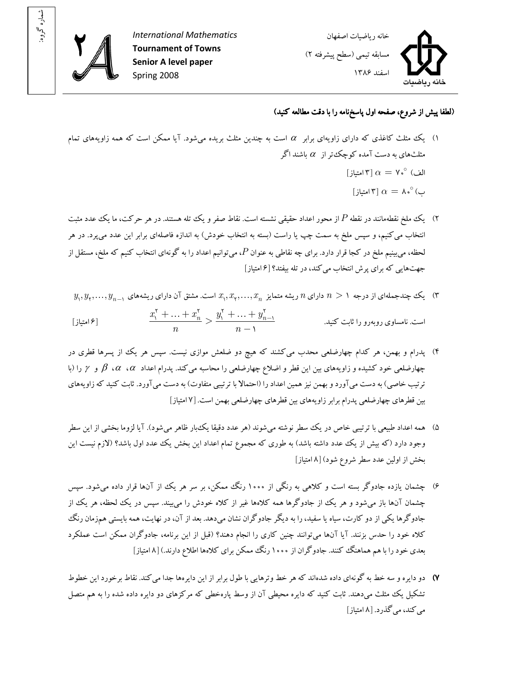

: شماره گروه

International Mathematics Tournament of Towns Senior A level paper Spring 2008



## (لطفا پيش از شروع، صفحه اول پاسخ نامه را با دقت مطالعه کنيد)

- ا) يک مثلث کاغذي که داراي زاويهاي برابر  $\alpha$  است به چندين مثلث بريده مي شود. آيا ممکن است که همه زاويههاي تمام مثلثهای به دست آمده کوچک تر از  $\alpha$  باشند اگر الف)  $\alpha=\mathsf{v}\mathbin{\overset{\circ}{}}\mathsf{u}$ امتياز]  $\alpha = \lambda \cdot^{\circ}$ ب)  $\alpha = \lambda$  امتياز
- )۲ يک ملخ نقطهمانند در نقطه P از محور اعداد حق يقي نشسته است. نقاط صفر و يک تله هستند. در هر حرکت يما ، ک عدد مثبت انتخاب مي کنيم، و سپس ملخ به سمت چپ يا راست (بسته به انتخاب خودش) به اندازه فاصلهاي برابر اين عدد مي پرد. در هر لحظه، مي $بينيم ملخ در کجا قرار دارد. براي چه نقاطي به عنوان  $P$ ، مي $\bar{v}$ وانيم اعداد را به گونهاي انتخاب کنيم که ملخ، مستقل از$ جهتهايي که براي پرش انتخاب ميکند، در تله بيفتد؟ ۶[ امتياز]
- $y_\gamma, y_\gamma, \ldots, y_{n-1}$  پک چندجملهای از درجه  $n > n$  دارای  $n$  ریشه متمایز  $x_\gamma, x_\gamma, \ldots, x_n$  است. مشتق آن دارای ریشههای  $y_{\gamma, \gamma}$

$$
\frac{x_1^{\mathsf{r}} + \ldots + x_n^{\mathsf{r}}}{n} > \frac{y_1^{\mathsf{r}} + \ldots + y_{n-1}^{\mathsf{r}}}{n-1}
$$
\n[3]  $\mathsf{p}_1$ 

- ۴) پدرام و بهمن، هر کدام چهارضلعی محدب می کشند که هیچ دو ضلعش موازی نیست. سپس هر یک از پسرها قطری در چهارضلعی خود کشيده و زاويههای بين اين قطر و اضلاع چهارضلعی را محاسبه میکند. پدرام اعداد  $\alpha$ ،  $\alpha$ ،  $\beta$  و  $\gamma$  را (با ترتيب خاصي) به دست مي آورد و بهمن نيز همين اعداد را (احتمالا با ترتيبي متفاوت) به دست مي آورد. ثابت کنيد که زاويههاي بين قطرهاي چهارضلعي پدرام برابر زاويههاي بين قطرهاي چهارضلعي بهمن است. [۷ امتياز]
- ۵) همه اعداد طبيعي با ترتيبي خاص در يک سطر نوشته مي شوند (هر عدد دقيقا يکءبار ظاهر مي شود). آيا لزوما بخشي از اين سطر وجود دارد (که بيش از يک عدد داشته باشد) به طوري که مجموع تمام اعداد اين بخش يک عدد اول باشد؟ (لازم نيست اين بخش از اولين عدد سطر شروع شود ۸[ ) امتياز]
- ۶) چشمان یازده جادوگر بسته است و کلاهی به رنگی از ۱۰۰۰ رنگ ممکن، بر سر هر یک از آنها قرار داده میشود. سپس چشمان آنها باز می شود و هر يک از جادوگرها همه کلاهها غير از کلاه خودش را می بيند. سيس در يک لحظه، هر يک از جادوگرها يكي از دو كارت، سياه يا سفيد، را به ديگر جادوگران نشان ميدهد. بعد از آن، در نهايت، همه بايستي همزمان رنگ کلاه خود را حدس بزنند. آيا آنها مي توانند چنين کاري را انجام دهند؟ (قبل از اين برنامه، جادوگران ممکن است عملکرد بعدي خود را با هم هماهنگ کنند. جادوگران از ۱۰۰۰ رنگ ممکن براي کلاهها اطلاع دارند.) [۸ امتياز]
- ۷) دو دايره و سه خط به گونهاي داده شدهاند که هر خط وترهايي با طول برابر از اين دايرهها جدا مي کند. نقاط برخورد اين خطوط تشکيل يک مثلث مي دهند. ثابت کنيد که دايره محيطي آن از وسط پارهخطي که مرکزهاي دو دايره داده شده را به هم متصل مي کند، مي گذرد. [ ۸ امتياز ]